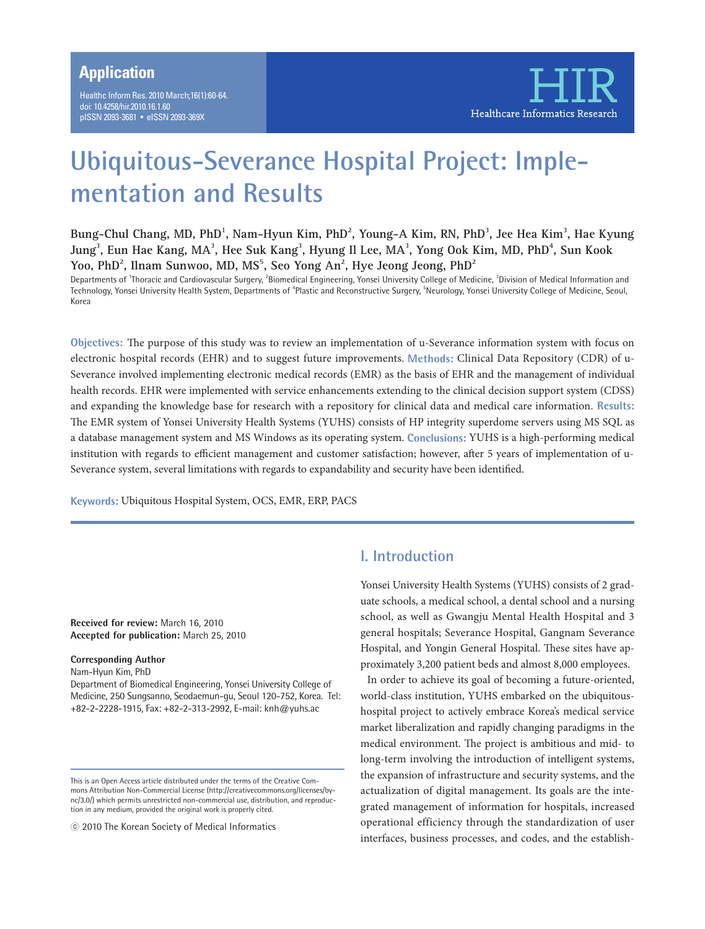Healthc Inform Res. 2010 March;16(1):60-64. doi: 10.4258/hir.2010.16.1.60 pISSN 2093-3681 • eISSN 2093-369X



# **Ubiquitous-Severance Hospital Project: Implementation and Results**

Bung-Chul Chang, MD, PhD<sup>1</sup>, Nam-Hyun Kim, PhD<sup>2</sup>, Young-A Kim, RN, PhD<sup>3</sup>, Jee Hea Kim<sup>3</sup>, Hae Kyung Jung<sup>3</sup>, Eun Hae Kang, MA<sup>3</sup>, Hee Suk Kang<sup>3</sup>, Hyung Il Lee, MA<sup>3</sup>, Yong Ook Kim, MD, PhD<sup>4</sup>, Sun Kook Yoo, PhD<sup>2</sup>, Ilnam Sunwoo, MD, MS<sup>5</sup>, Seo Yong An<sup>2</sup>, Hye Jeong Jeong, PhD<sup>2</sup>

Departments of 'Thoracic and Cardiovascular Surgery, <sup>2</sup>Biomedical Engineering, Yonsei University College of Medicine, <sup>3</sup>Division of Medical Information and Technology, Yonsei University Health System, Departments of <sup>4</sup>Plastic and Reconstructive Surgery, <sup>5</sup>Neurology, Yonsei University College of Medicine, Seoul, Korea

**Objectives:** The purpose of this study was to review an implementation of u-Severance information system with focus on electronic hospital records (EHR) and to suggest future improvements. **Methods:** Clinical Data Repository (CDR) of u-Severance involved implementing electronic medical records (EMR) as the basis of EHR and the management of individual health records. EHR were implemented with service enhancements extending to the clinical decision support system (CDSS) and expanding the knowledge base for research with a repository for clinical data and medical care information. **Results:** The EMR system of Yonsei University Health Systems (YUHS) consists of HP integrity superdome servers using MS SQL as a database management system and MS Windows as its operating system. **Conclusions:** YUHS is a high-performing medical institution with regards to efficient management and customer satisfaction; however, after 5 years of implementation of u-Severance system, several limitations with regards to expandability and security have been identified.

**Keywords:** Ubiquitous Hospital System, OCS, EMR, ERP, PACS

**Received for review:** March 16, 2010 **Accepted for publication:** March 25, 2010

#### **Corresponding Author**

Nam-Hyun Kim, PhD Department of Biomedical Engineering, Yonsei University College of Medicine, 250 Sungsanno, Seodaemun-gu, Seoul 120-752, Korea. Tel: +82-2-2228-1915, Fax: +82-2-313-2992, E-mail: knh@yuhs.ac

ⓒ 2010 The Korean Society of Medical Informatics

## **I. Introduction**

Yonsei University Health Systems (YUHS) consists of 2 graduate schools, a medical school, a dental school and a nursing school, as well as Gwangju Mental Health Hospital and 3 general hospitals; Severance Hospital, Gangnam Severance Hospital, and Yongin General Hospital. These sites have approximately 3,200 patient beds and almost 8,000 employees.

 In order to achieve its goal of becoming a future-oriented, world-class institution, YUHS embarked on the ubiquitoushospital project to actively embrace Korea's medical service market liberalization and rapidly changing paradigms in the medical environment. The project is ambitious and mid- to long-term involving the introduction of intelligent systems, the expansion of infrastructure and security systems, and the actualization of digital management. Its goals are the integrated management of information for hospitals, increased operational efficiency through the standardization of user interfaces, business processes, and codes, and the establish-

This is an Open Access article distributed under the terms of the Creative Commons Attribution Non-Commercial License (http://creativecommons.org/licenses/bync/3.0/) which permits unrestricted non-commercial use, distribution, and reproduction in any medium, provided the original work is properly cited.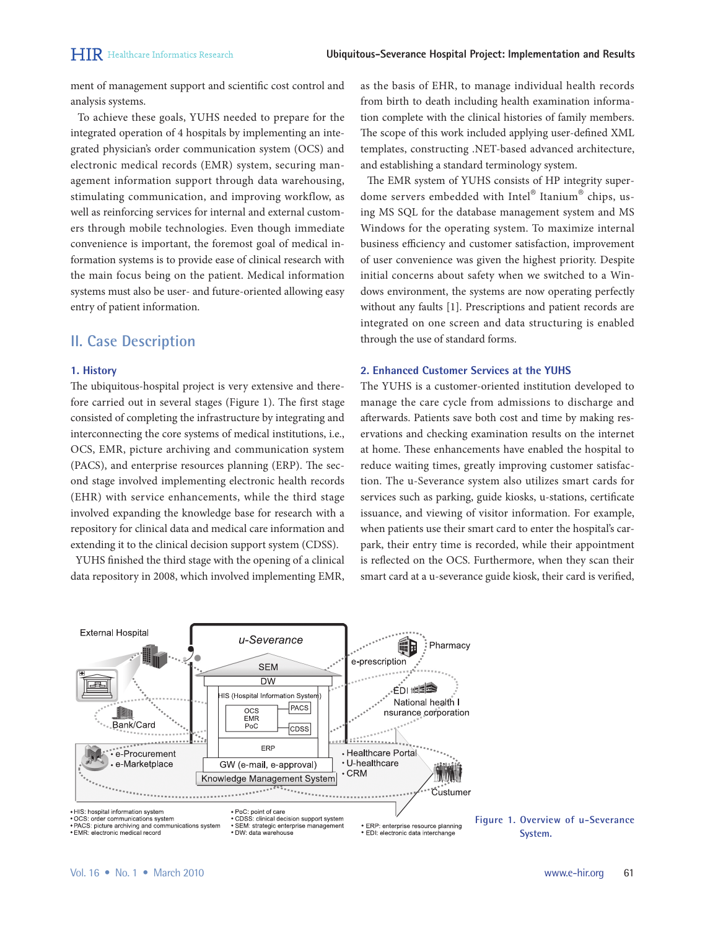#### **HIR** Healthcare Informatics Research

ment of management support and scientific cost control and analysis systems.

 To achieve these goals, YUHS needed to prepare for the integrated operation of 4 hospitals by implementing an integrated physician's order communication system (OCS) and electronic medical records (EMR) system, securing management information support through data warehousing, stimulating communication, and improving workflow, as well as reinforcing services for internal and external customers through mobile technologies. Even though immediate convenience is important, the foremost goal of medical information systems is to provide ease of clinical research with the main focus being on the patient. Medical information systems must also be user- and future-oriented allowing easy entry of patient information.

## **II. Case Description**

#### **1. History**

The ubiquitous-hospital project is very extensive and therefore carried out in several stages (Figure 1). The first stage consisted of completing the infrastructure by integrating and interconnecting the core systems of medical institutions, i.e., OCS, EMR, picture archiving and communication system (PACS), and enterprise resources planning (ERP). The second stage involved implementing electronic health records (EHR) with service enhancements, while the third stage involved expanding the knowledge base for research with a repository for clinical data and medical care information and extending it to the clinical decision support system (CDSS).

 YUHS finished the third stage with the opening of a clinical data repository in 2008, which involved implementing EMR,

as the basis of EHR, to manage individual health records from birth to death including health examination information complete with the clinical histories of family members. The scope of this work included applying user-defined XML templates, constructing .NET-based advanced architecture, and establishing a standard terminology system.

 The EMR system of YUHS consists of HP integrity superdome servers embedded with Intel® Itanium® chips, using MS SQL for the database management system and MS Windows for the operating system. To maximize internal business efficiency and customer satisfaction, improvement of user convenience was given the highest priority. Despite initial concerns about safety when we switched to a Windows environment, the systems are now operating perfectly without any faults [1]. Prescriptions and patient records are integrated on one screen and data structuring is enabled through the use of standard forms.

#### **2. Enhanced Customer Services at the YUHS**

The YUHS is a customer-oriented institution developed to manage the care cycle from admissions to discharge and afterwards. Patients save both cost and time by making reservations and checking examination results on the internet at home. These enhancements have enabled the hospital to reduce waiting times, greatly improving customer satisfaction. The u-Severance system also utilizes smart cards for services such as parking, guide kiosks, u-stations, certificate issuance, and viewing of visitor information. For example, when patients use their smart card to enter the hospital's carpark, their entry time is recorded, while their appointment is reflected on the OCS. Furthermore, when they scan their smart card at a u-severance guide kiosk, their card is verified,

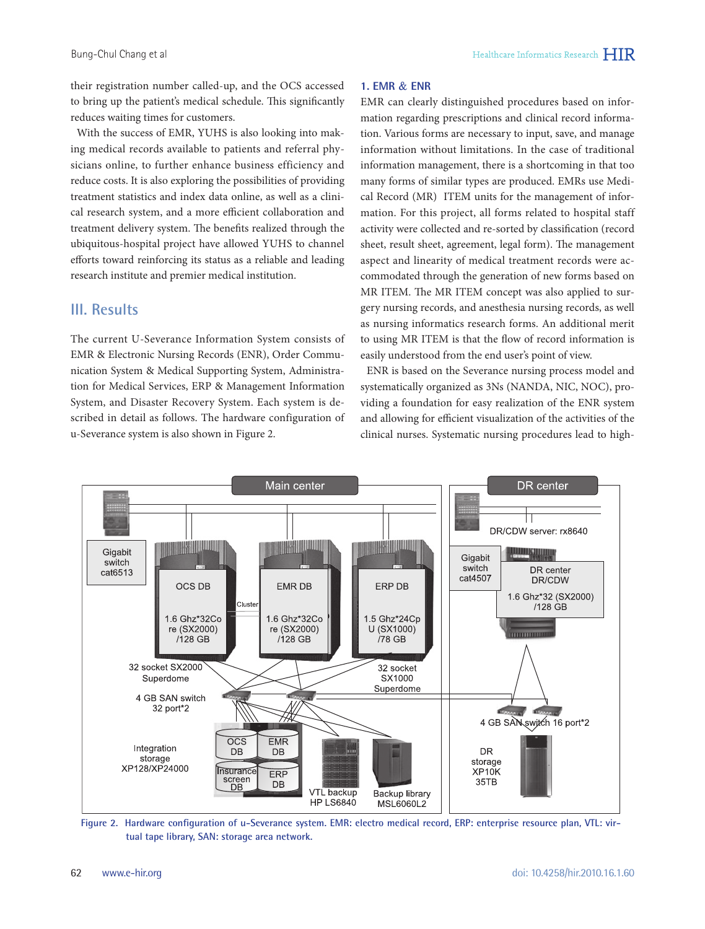their registration number called-up, and the OCS accessed to bring up the patient's medical schedule. This significantly reduces waiting times for customers.

 With the success of EMR, YUHS is also looking into making medical records available to patients and referral physicians online, to further enhance business efficiency and reduce costs. It is also exploring the possibilities of providing treatment statistics and index data online, as well as a clinical research system, and a more efficient collaboration and treatment delivery system. The benefits realized through the ubiquitous-hospital project have allowed YUHS to channel efforts toward reinforcing its status as a reliable and leading research institute and premier medical institution.

# **III. Results**

The current U-Severance Information System consists of EMR & Electronic Nursing Records (ENR), Order Communication System & Medical Supporting System, Administration for Medical Services, ERP & Management Information System, and Disaster Recovery System. Each system is described in detail as follows. The hardware configuration of u-Severance system is also shown in Figure 2.

### **1. EMR** & **ENR**

EMR can clearly distinguished procedures based on information regarding prescriptions and clinical record information. Various forms are necessary to input, save, and manage information without limitations. In the case of traditional information management, there is a shortcoming in that too many forms of similar types are produced. EMRs use Medical Record (MR) ITEM units for the management of information. For this project, all forms related to hospital staff activity were collected and re-sorted by classification (record sheet, result sheet, agreement, legal form). The management aspect and linearity of medical treatment records were accommodated through the generation of new forms based on MR ITEM. The MR ITEM concept was also applied to surgery nursing records, and anesthesia nursing records, as well as nursing informatics research forms. An additional merit to using MR ITEM is that the flow of record information is easily understood from the end user's point of view.

 ENR is based on the Severance nursing process model and systematically organized as 3Ns (NANDA, NIC, NOC), providing a foundation for easy realization of the ENR system and allowing for efficient visualization of the activities of the clinical nurses. Systematic nursing procedures lead to high-



**Figure 2. Hardware configuration of u-Severance system. EMR: electro medical record, ERP: enterprise resource plan, VTL: virtual tape library, SAN: storage area network.**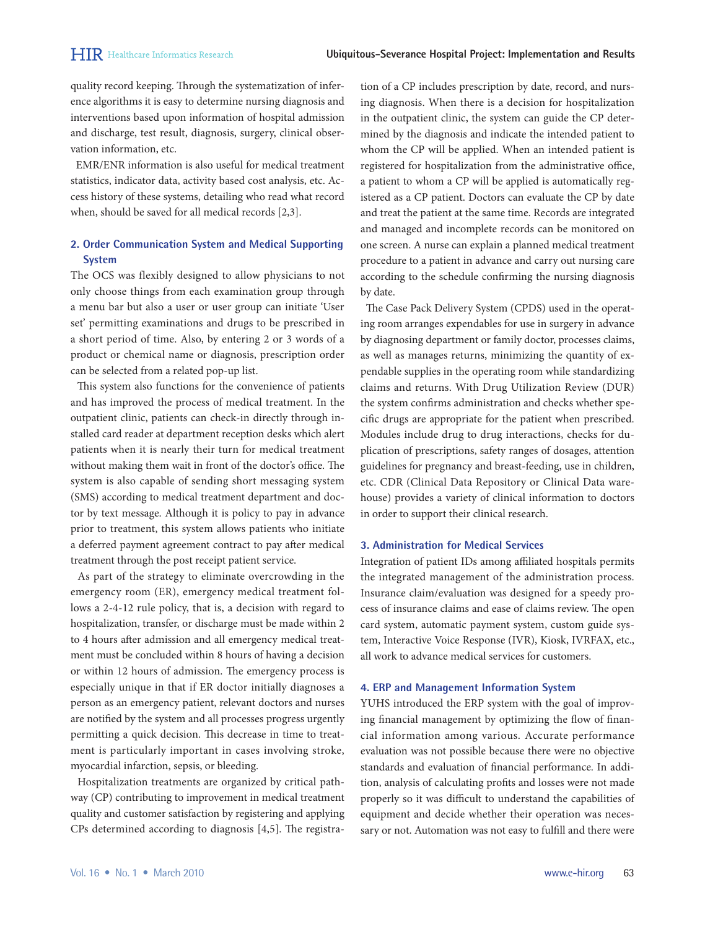#### $\mathbf{HIR}$  Healthcare Informatics Research

quality record keeping. Through the systematization of inference algorithms it is easy to determine nursing diagnosis and interventions based upon information of hospital admission and discharge, test result, diagnosis, surgery, clinical observation information, etc.

 EMR/ENR information is also useful for medical treatment statistics, indicator data, activity based cost analysis, etc. Access history of these systems, detailing who read what record when, should be saved for all medical records [2,3].

#### **2. Order Communication System and Medical Supporting System**

The OCS was flexibly designed to allow physicians to not only choose things from each examination group through a menu bar but also a user or user group can initiate 'User set' permitting examinations and drugs to be prescribed in a short period of time. Also, by entering 2 or 3 words of a product or chemical name or diagnosis, prescription order can be selected from a related pop-up list.

 This system also functions for the convenience of patients and has improved the process of medical treatment. In the outpatient clinic, patients can check-in directly through installed card reader at department reception desks which alert patients when it is nearly their turn for medical treatment without making them wait in front of the doctor's office. The system is also capable of sending short messaging system (SMS) according to medical treatment department and doctor by text message. Although it is policy to pay in advance prior to treatment, this system allows patients who initiate a deferred payment agreement contract to pay after medical treatment through the post receipt patient service.

 As part of the strategy to eliminate overcrowding in the emergency room (ER), emergency medical treatment follows a 2-4-12 rule policy, that is, a decision with regard to hospitalization, transfer, or discharge must be made within 2 to 4 hours after admission and all emergency medical treatment must be concluded within 8 hours of having a decision or within 12 hours of admission. The emergency process is especially unique in that if ER doctor initially diagnoses a person as an emergency patient, relevant doctors and nurses are notified by the system and all processes progress urgently permitting a quick decision. This decrease in time to treatment is particularly important in cases involving stroke, myocardial infarction, sepsis, or bleeding.

 Hospitalization treatments are organized by critical pathway (CP) contributing to improvement in medical treatment quality and customer satisfaction by registering and applying CPs determined according to diagnosis [4,5]. The registration of a CP includes prescription by date, record, and nursing diagnosis. When there is a decision for hospitalization in the outpatient clinic, the system can guide the CP determined by the diagnosis and indicate the intended patient to whom the CP will be applied. When an intended patient is registered for hospitalization from the administrative office, a patient to whom a CP will be applied is automatically registered as a CP patient. Doctors can evaluate the CP by date and treat the patient at the same time. Records are integrated and managed and incomplete records can be monitored on one screen. A nurse can explain a planned medical treatment procedure to a patient in advance and carry out nursing care according to the schedule confirming the nursing diagnosis by date.

 The Case Pack Delivery System (CPDS) used in the operating room arranges expendables for use in surgery in advance by diagnosing department or family doctor, processes claims, as well as manages returns, minimizing the quantity of expendable supplies in the operating room while standardizing claims and returns. With Drug Utilization Review (DUR) the system confirms administration and checks whether specific drugs are appropriate for the patient when prescribed. Modules include drug to drug interactions, checks for duplication of prescriptions, safety ranges of dosages, attention guidelines for pregnancy and breast-feeding, use in children, etc. CDR (Clinical Data Repository or Clinical Data warehouse) provides a variety of clinical information to doctors in order to support their clinical research.

#### **3. Administration for Medical Services**

Integration of patient IDs among affiliated hospitals permits the integrated management of the administration process. Insurance claim/evaluation was designed for a speedy process of insurance claims and ease of claims review. The open card system, automatic payment system, custom guide system, Interactive Voice Response (IVR), Kiosk, IVRFAX, etc., all work to advance medical services for customers.

#### **4. ERP and Management Information System**

YUHS introduced the ERP system with the goal of improving financial management by optimizing the flow of financial information among various. Accurate performance evaluation was not possible because there were no objective standards and evaluation of financial performance. In addition, analysis of calculating profits and losses were not made properly so it was difficult to understand the capabilities of equipment and decide whether their operation was necessary or not. Automation was not easy to fulfill and there were